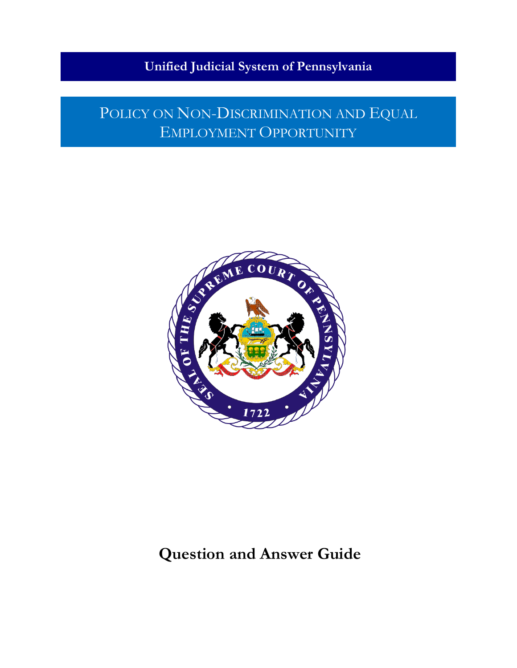### **Unified Judicial System of Pennsylvania**

## POLICY ON NON-DISCRIMINATION AND EQUAL EMPLOYMENT OPPORTUNITY



## **Question and Answer Guide**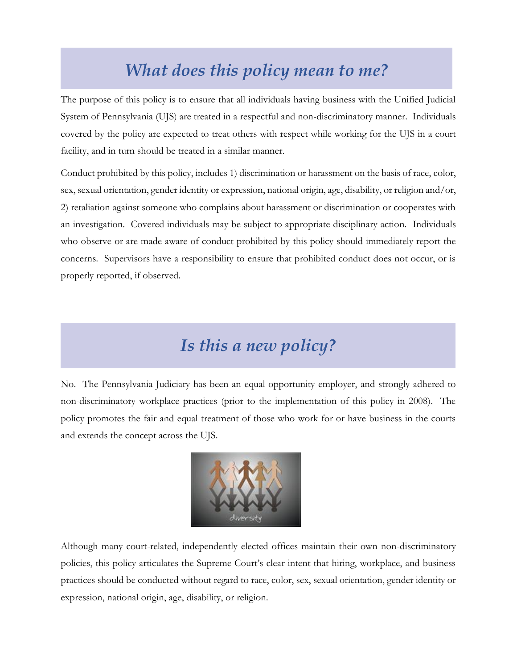## *What does this policy mean to me?*

The purpose of this policy is to ensure that all individuals having business with the Unified Judicial System of Pennsylvania (UJS) are treated in a respectful and non-discriminatory manner. Individuals covered by the policy are expected to treat others with respect while working for the UJS in a court facility, and in turn should be treated in a similar manner.

Conduct prohibited by this policy, includes 1) discrimination or harassment on the basis of race, color, sex, sexual orientation, gender identity or expression, national origin, age, disability, or religion and/or, 2) retaliation against someone who complains about harassment or discrimination or cooperates with an investigation. Covered individuals may be subject to appropriate disciplinary action. Individuals who observe or are made aware of conduct prohibited by this policy should immediately report the concerns. Supervisors have a responsibility to ensure that prohibited conduct does not occur, or is properly reported, if observed.

## *Is this a new policy?*

No. The Pennsylvania Judiciary has been an equal opportunity employer, and strongly adhered to non-discriminatory workplace practices (prior to the implementation of this policy in 2008). The policy promotes the fair and equal treatment of those who work for or have business in the courts and extends the concept across the UJS.



Although many court-related, independently elected offices maintain their own non-discriminatory policies, this policy articulates the Supreme Court's clear intent that hiring, workplace, and business practices should be conducted without regard to race, color, sex, sexual orientation, gender identity or expression, national origin, age, disability, or religion.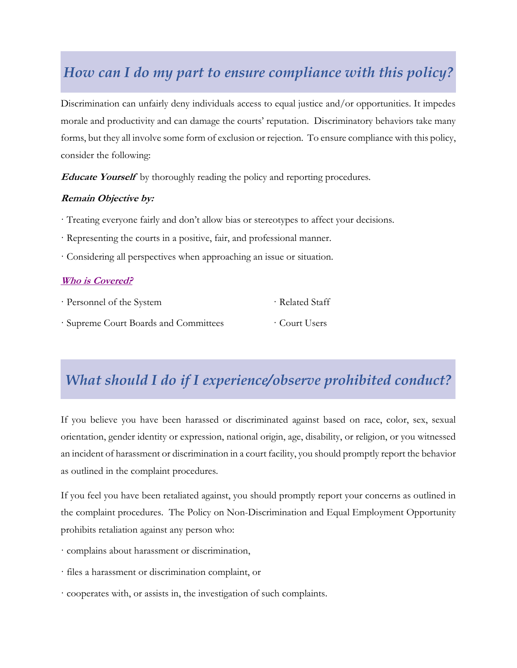### *How can I do my part to ensure compliance with this policy?*

Discrimination can unfairly deny individuals access to equal justice and/or opportunities. It impedes morale and productivity and can damage the courts' reputation. Discriminatory behaviors take many forms, but they all involve some form of exclusion or rejection. To ensure compliance with this policy, consider the following:

**Educate Yourself** by thoroughly reading the policy and reporting procedures.

#### **Remain Objective by:**

- · Treating everyone fairly and don't allow bias or stereotypes to affect your decisions.
- · Representing the courts in a positive, fair, and professional manner.
- · Considering all perspectives when approaching an issue or situation.

#### **[Who is Covered?](https://www.pacourts.us/Storage/media/pdfs/20210211/021959-nondiscriminationpolicy-000214.pdf)**

| · Personnel of the System           | · Related Staff |
|-------------------------------------|-----------------|
| Supreme Court Boards and Committees | Court Users     |

### *What should I do if I experience/observe prohibited conduct?*

If you believe you have been harassed or discriminated against based on race, color, sex, sexual orientation, gender identity or expression, national origin, age, disability, or religion, or you witnessed an incident of harassment or discrimination in a court facility, you should promptly report the behavior as outlined in the complaint procedures.

If you feel you have been retaliated against, you should promptly report your concerns as outlined in the complaint procedures. The Policy on Non-Discrimination and Equal Employment Opportunity prohibits retaliation against any person who:

- · complains about harassment or discrimination,
- · files a harassment or discrimination complaint, or
- · cooperates with, or assists in, the investigation of such complaints.